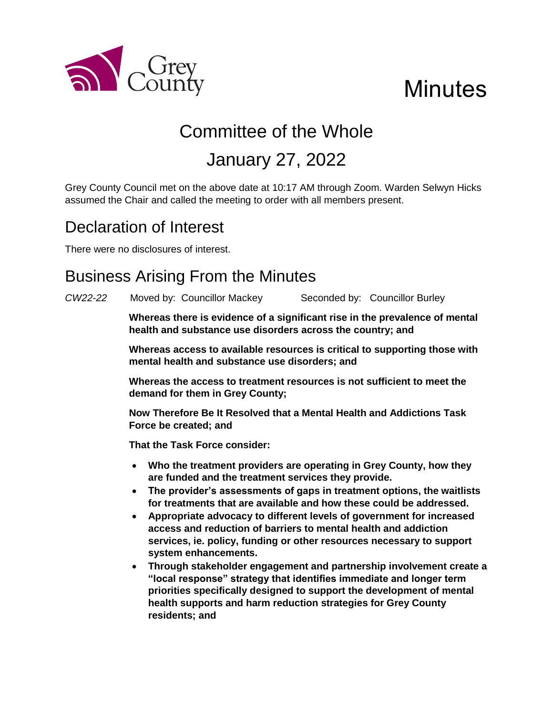

# **Minutes**

# Committee of the Whole January 27, 2022

Grey County Council met on the above date at 10:17 AM through Zoom. Warden Selwyn Hicks assumed the Chair and called the meeting to order with all members present.

# Declaration of Interest

There were no disclosures of interest.

# Business Arising From the Minutes

*CW22-22* Moved by: Councillor Mackey Seconded by: Councillor Burley

**Whereas there is evidence of a significant rise in the prevalence of mental health and substance use disorders across the country; and**

**Whereas access to available resources is critical to supporting those with mental health and substance use disorders; and**

**Whereas the access to treatment resources is not sufficient to meet the demand for them in Grey County;**

**Now Therefore Be It Resolved that a Mental Health and Addictions Task Force be created; and**

**That the Task Force consider:**

- **Who the treatment providers are operating in Grey County, how they are funded and the treatment services they provide.**
- **The provider's assessments of gaps in treatment options, the waitlists for treatments that are available and how these could be addressed.**
- **Appropriate advocacy to different levels of government for increased access and reduction of barriers to mental health and addiction services, ie. policy, funding or other resources necessary to support system enhancements.**
- **Through stakeholder engagement and partnership involvement create a "local response" strategy that identifies immediate and longer term priorities specifically designed to support the development of mental health supports and harm reduction strategies for Grey County residents; and**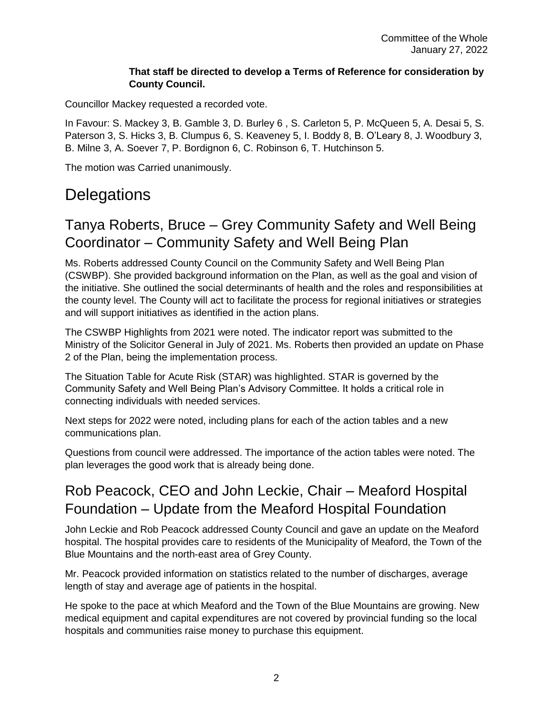#### **That staff be directed to develop a Terms of Reference for consideration by County Council.**

Councillor Mackey requested a recorded vote.

In Favour: S. Mackey 3, B. Gamble 3, D. Burley 6 , S. Carleton 5, P. McQueen 5, A. Desai 5, S. Paterson 3, S. Hicks 3, B. Clumpus 6, S. Keaveney 5, I. Boddy 8, B. O'Leary 8, J. Woodbury 3, B. Milne 3, A. Soever 7, P. Bordignon 6, C. Robinson 6, T. Hutchinson 5.

The motion was Carried unanimously.

### **Delegations**

#### Tanya Roberts, Bruce – Grey Community Safety and Well Being Coordinator – Community Safety and Well Being Plan

Ms. Roberts addressed County Council on the Community Safety and Well Being Plan (CSWBP). She provided background information on the Plan, as well as the goal and vision of the initiative. She outlined the social determinants of health and the roles and responsibilities at the county level. The County will act to facilitate the process for regional initiatives or strategies and will support initiatives as identified in the action plans.

The CSWBP Highlights from 2021 were noted. The indicator report was submitted to the Ministry of the Solicitor General in July of 2021. Ms. Roberts then provided an update on Phase 2 of the Plan, being the implementation process.

The Situation Table for Acute Risk (STAR) was highlighted. STAR is governed by the Community Safety and Well Being Plan's Advisory Committee. It holds a critical role in connecting individuals with needed services.

Next steps for 2022 were noted, including plans for each of the action tables and a new communications plan.

Questions from council were addressed. The importance of the action tables were noted. The plan leverages the good work that is already being done.

#### Rob Peacock, CEO and John Leckie, Chair – Meaford Hospital Foundation – Update from the Meaford Hospital Foundation

John Leckie and Rob Peacock addressed County Council and gave an update on the Meaford hospital. The hospital provides care to residents of the Municipality of Meaford, the Town of the Blue Mountains and the north-east area of Grey County.

Mr. Peacock provided information on statistics related to the number of discharges, average length of stay and average age of patients in the hospital.

He spoke to the pace at which Meaford and the Town of the Blue Mountains are growing. New medical equipment and capital expenditures are not covered by provincial funding so the local hospitals and communities raise money to purchase this equipment.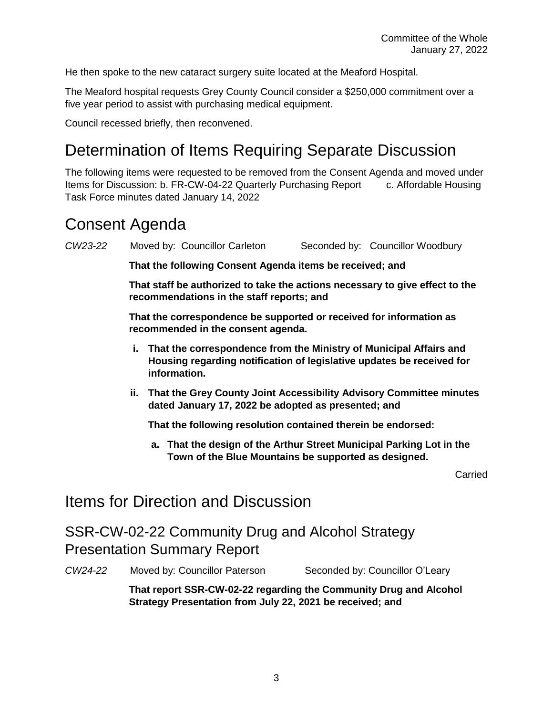He then spoke to the new cataract surgery suite located at the Meaford Hospital.

The Meaford hospital requests Grey County Council consider a \$250,000 commitment over a five year period to assist with purchasing medical equipment.

Council recessed briefly, then reconvened.

# Determination of Items Requiring Separate Discussion

The following items were requested to be removed from the Consent Agenda and moved under Items for Discussion: b. FR-CW-04-22 Quarterly Purchasing Report c. Affordable Housing Task Force minutes dated January 14, 2022

### Consent Agenda

*CW23-22* Moved by: Councillor Carleton Seconded by: Councillor Woodbury

**That the following Consent Agenda items be received; and**

**That staff be authorized to take the actions necessary to give effect to the recommendations in the staff reports; and**

**That the correspondence be supported or received for information as recommended in the consent agenda.** 

- **i. That the correspondence from the Ministry of Municipal Affairs and Housing regarding notification of legislative updates be received for information.**
- **ii. That the Grey County Joint Accessibility Advisory Committee minutes dated January 17, 2022 be adopted as presented; and**

**That the following resolution contained therein be endorsed:**

**a. That the design of the Arthur Street Municipal Parking Lot in the Town of the Blue Mountains be supported as designed.** 

Carried

#### Items for Direction and Discussion

SSR-CW-02-22 Community Drug and Alcohol Strategy Presentation Summary Report

*CW24-22* Moved by: Councillor Paterson Seconded by: Councillor O'Leary

**That report SSR-CW-02-22 regarding the Community Drug and Alcohol Strategy Presentation from July 22, 2021 be received; and**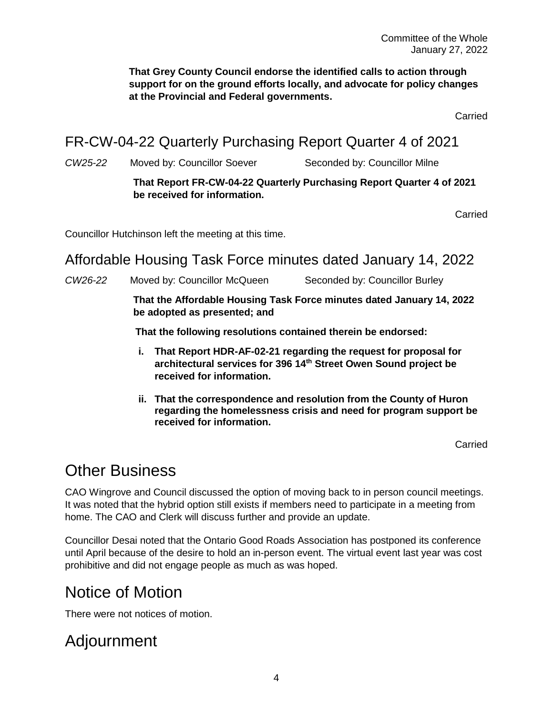**That Grey County Council endorse the identified calls to action through support for on the ground efforts locally, and advocate for policy changes at the Provincial and Federal governments.**

Carried

FR-CW-04-22 Quarterly Purchasing Report Quarter 4 of 2021

CW25-22 Moved by: Councillor Soever Seconded by: Councillor Milne

#### **That Report FR-CW-04-22 Quarterly Purchasing Report Quarter 4 of 2021 be received for information.**

Carried

Councillor Hutchinson left the meeting at this time.

#### Affordable Housing Task Force minutes dated January 14, 2022

*CW26-22* Moved by: Councillor McQueen Seconded by: Councillor Burley

**That the Affordable Housing Task Force minutes dated January 14, 2022 be adopted as presented; and**

**That the following resolutions contained therein be endorsed:**

- **i. That Report HDR-AF-02-21 regarding the request for proposal for architectural services for 396 14th Street Owen Sound project be received for information.**
- **ii. That the correspondence and resolution from the County of Huron regarding the homelessness crisis and need for program support be received for information.**

Carried

#### Other Business

CAO Wingrove and Council discussed the option of moving back to in person council meetings. It was noted that the hybrid option still exists if members need to participate in a meeting from home. The CAO and Clerk will discuss further and provide an update.

Councillor Desai noted that the Ontario Good Roads Association has postponed its conference until April because of the desire to hold an in-person event. The virtual event last year was cost prohibitive and did not engage people as much as was hoped.

## Notice of Motion

There were not notices of motion.

#### Adjournment